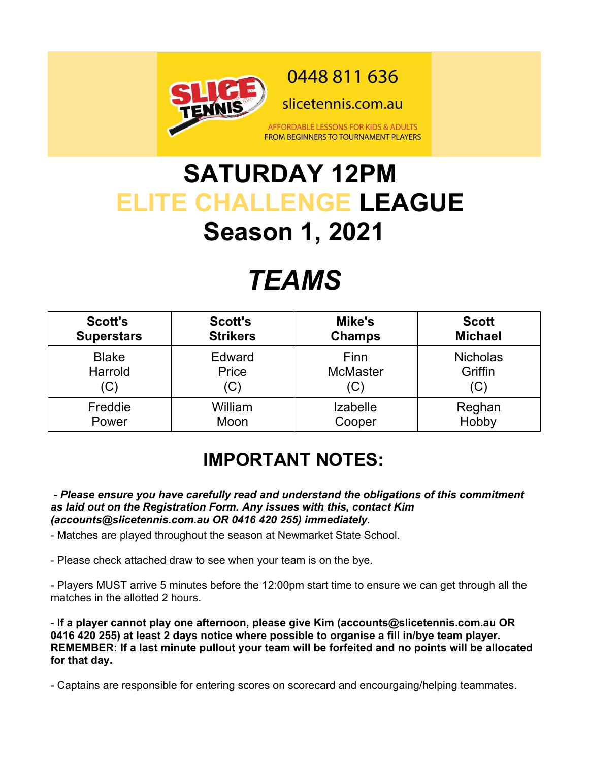

## **SATURDAY 12PM ELITE CHALLENGE LEAGUE Season 1, 2021**

# *TEAMS*

| <b>Scott's</b>    | <b>Scott's</b>  | Mike's          | <b>Scott</b>    |
|-------------------|-----------------|-----------------|-----------------|
| <b>Superstars</b> | <b>Strikers</b> | <b>Champs</b>   | <b>Michael</b>  |
| <b>Blake</b>      | Edward          | Finn            | <b>Nicholas</b> |
| Harrold           | Price           | <b>McMaster</b> | Griffin         |
| (C)               | (C)             | (C)             | (C)             |
| Freddie           | William         | <b>Izabelle</b> | Reghan          |
| Power             | Moon            | Cooper          | Hobby           |

#### **IMPORTANT NOTES:**

 *- Please ensure you have carefully read and understand the obligations of this commitment as laid out on the Registration Form. Any issues with this, contact Kim (accounts@slicetennis.com.au OR 0416 420 255) immediately.*

- Matches are played throughout the season at Newmarket State School.

- Please check attached draw to see when your team is on the bye.

- Players MUST arrive 5 minutes before the 12:00pm start time to ensure we can get through all the matches in the allotted 2 hours.

- **If a player cannot play one afternoon, please give Kim (accounts@slicetennis.com.au OR 0416 420 255) at least 2 days notice where possible to organise a fill in/bye team player. REMEMBER: If a last minute pullout your team will be forfeited and no points will be allocated for that day.**

- Captains are responsible for entering scores on scorecard and encourgaing/helping teammates.